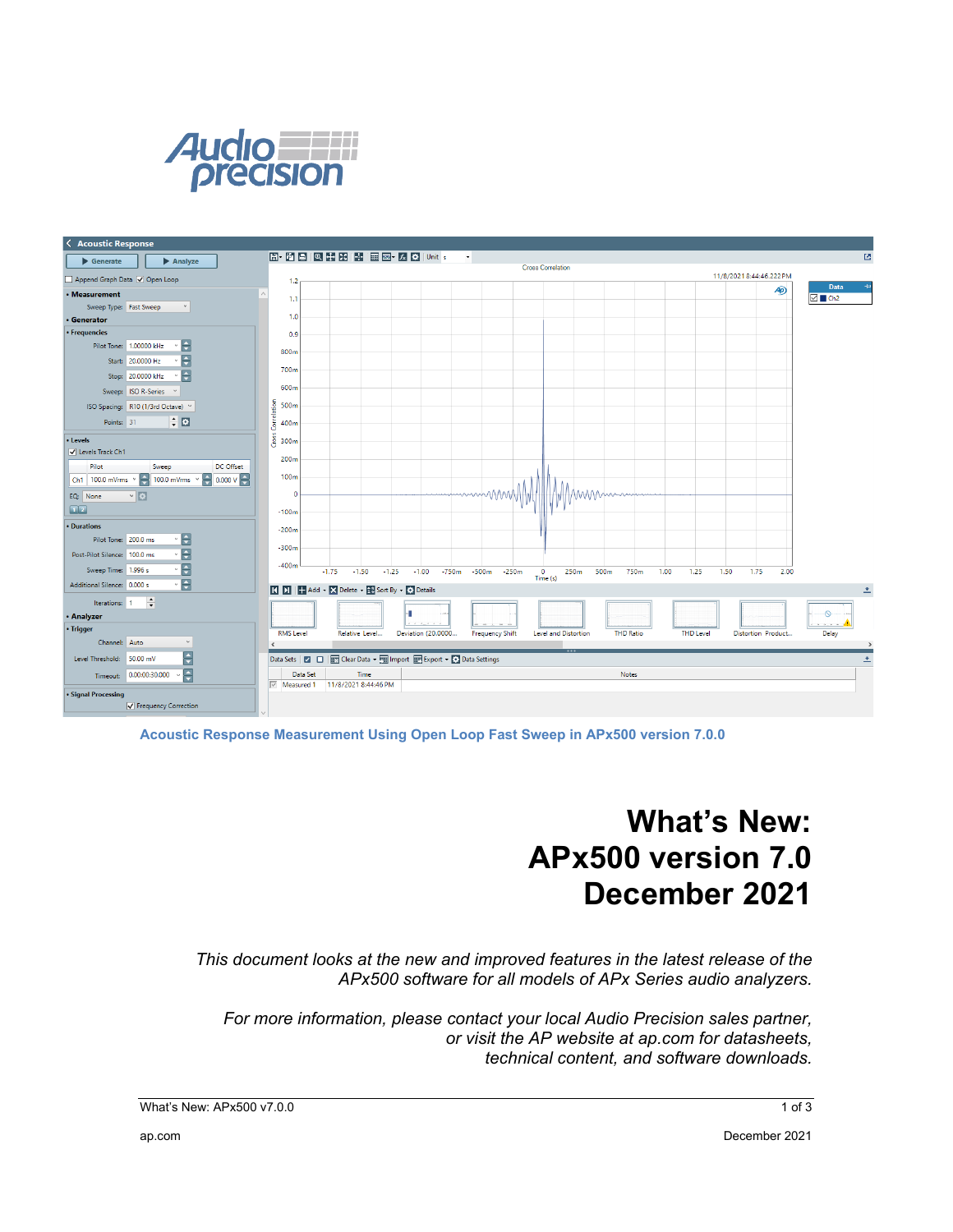



**Acoustic Response Measurement Using Open Loop Fast Sweep in APx500 version 7.0.0** 

# **What's New: APx500 version 7.0 December 2021**

*This document looks at the new and improved features in the latest release of the APx500 software for all models of APx Series audio analyzers.*

*For more information, please contact your local Audio Precision sales partner, or visit the AP website at ap.com for datasheets, technical content, and software downloads.*

What's New: APx500 v7.0.0 1 of 3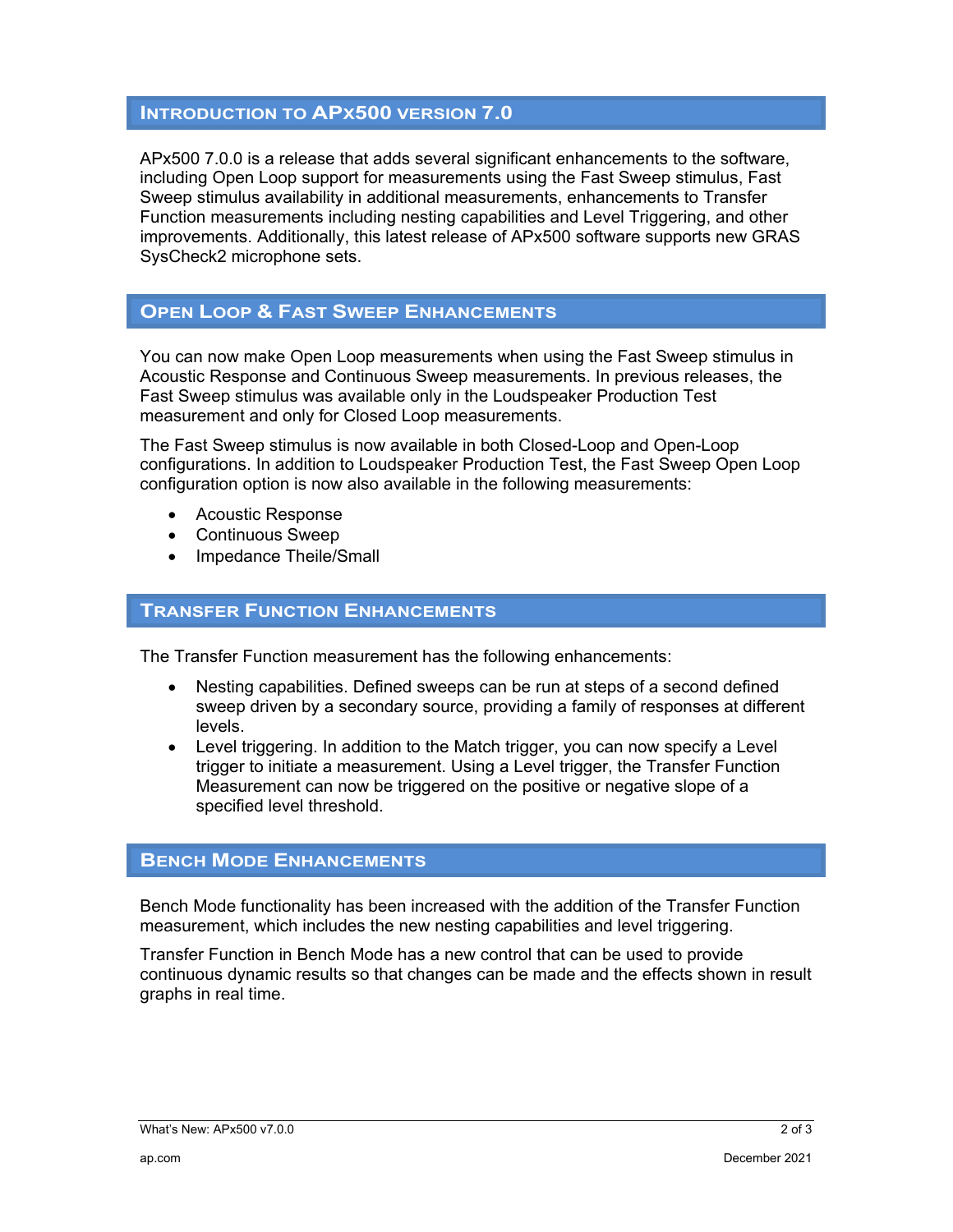### **INTRODUCTION TO APX500 VERSION 7.0**

APx500 7.0.0 is a release that adds several significant enhancements to the software, including Open Loop support for measurements using the Fast Sweep stimulus, Fast Sweep stimulus availability in additional measurements, enhancements to Transfer Function measurements including nesting capabilities and Level Triggering, and other improvements. Additionally, this latest release of APx500 software supports new GRAS SysCheck2 microphone sets.

## **OPEN LOOP & FAST SWEEP ENHANCEMENTS**

You can now make Open Loop measurements when using the Fast Sweep stimulus in Acoustic Response and Continuous Sweep measurements. In previous releases, the Fast Sweep stimulus was available only in the Loudspeaker Production Test measurement and only for Closed Loop measurements.

The Fast Sweep stimulus is now available in both Closed-Loop and Open-Loop configurations. In addition to Loudspeaker Production Test, the Fast Sweep Open Loop configuration option is now also available in the following measurements:

- Acoustic Response
- Continuous Sweep
- Impedance Theile/Small

#### **TRANSFER FUNCTION ENHANCEMENTS**

The Transfer Function measurement has the following enhancements:

- Nesting capabilities. Defined sweeps can be run at steps of a second defined sweep driven by a secondary source, providing a family of responses at different levels.
- Level triggering. In addition to the Match trigger, you can now specify a Level trigger to initiate a measurement. Using a Level trigger, the Transfer Function Measurement can now be triggered on the positive or negative slope of a specified level threshold.

#### **BENCH MODE ENHANCEMENTS**

Bench Mode functionality has been increased with the addition of the Transfer Function measurement, which includes the new nesting capabilities and level triggering.

Transfer Function in Bench Mode has a new control that can be used to provide continuous dynamic results so that changes can be made and the effects shown in result graphs in real time.